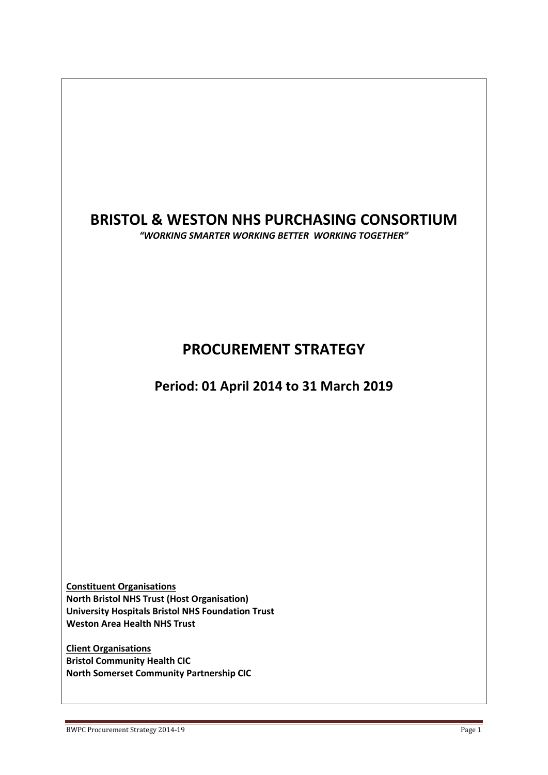# **BRISTOL & WESTON NHS PURCHASING CONSORTIUM**

*"WORKING SMARTER WORKING BETTER WORKING TOGETHER"*

# **PROCUREMENT STRATEGY**

# **Period: 01 April 2014 to 31 March 2019**

**Constituent Organisations North Bristol NHS Trust (Host Organisation) University Hospitals Bristol NHS Foundation Trust Weston Area Health NHS Trust**

**Client Organisations Bristol Community Health CIC North Somerset Community Partnership CIC**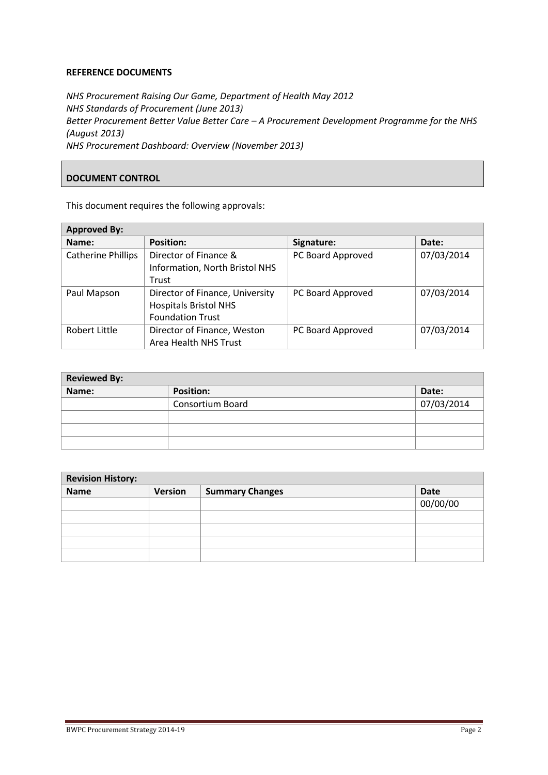#### **REFERENCE DOCUMENTS**

*NHS Procurement Raising Our Game, Department of Health May 2012 NHS Standards of Procurement (June 2013) Better Procurement Better Value Better Care – A Procurement Development Programme for the NHS (August 2013) NHS Procurement Dashboard: Overview (November 2013)*

# **DOCUMENT CONTROL**

This document requires the following approvals:

| <b>Approved By:</b>                                             |                                                         |            |  |
|-----------------------------------------------------------------|---------------------------------------------------------|------------|--|
| <b>Position:</b>                                                | Signature:                                              | Date:      |  |
| Director of Finance &                                           | PC Board Approved                                       | 07/03/2014 |  |
| Trust                                                           |                                                         |            |  |
| Director of Finance, University<br><b>Hospitals Bristol NHS</b> | PC Board Approved                                       | 07/03/2014 |  |
| <b>Foundation Trust</b>                                         |                                                         |            |  |
| Director of Finance, Weston                                     | PC Board Approved                                       | 07/03/2014 |  |
|                                                                 | Information, North Bristol NHS<br>Area Health NHS Trust |            |  |

| <b>Reviewed By:</b> |                         |            |  |
|---------------------|-------------------------|------------|--|
| Name:               | <b>Position:</b>        | Date:      |  |
|                     | <b>Consortium Board</b> | 07/03/2014 |  |
|                     |                         |            |  |
|                     |                         |            |  |
|                     |                         |            |  |

| <b>Revision History:</b> |         |                        |             |
|--------------------------|---------|------------------------|-------------|
| <b>Name</b>              | Version | <b>Summary Changes</b> | <b>Date</b> |
|                          |         |                        | 00/00/00    |
|                          |         |                        |             |
|                          |         |                        |             |
|                          |         |                        |             |
|                          |         |                        |             |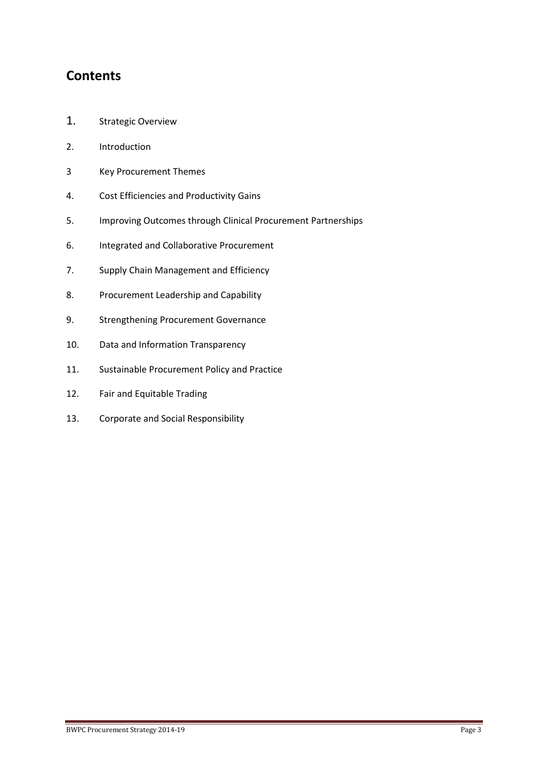# **Contents**

- 1. Strategic Overview
- 2. Introduction
- 3 Key Procurement Themes
- 4. Cost Efficiencies and Productivity Gains
- 5. Improving Outcomes through Clinical Procurement Partnerships
- 6. Integrated and Collaborative Procurement
- 7. Supply Chain Management and Efficiency
- 8. Procurement Leadership and Capability
- 9. Strengthening Procurement Governance
- 10. Data and Information Transparency
- 11. Sustainable Procurement Policy and Practice
- 12. Fair and Equitable Trading
- 13. Corporate and Social Responsibility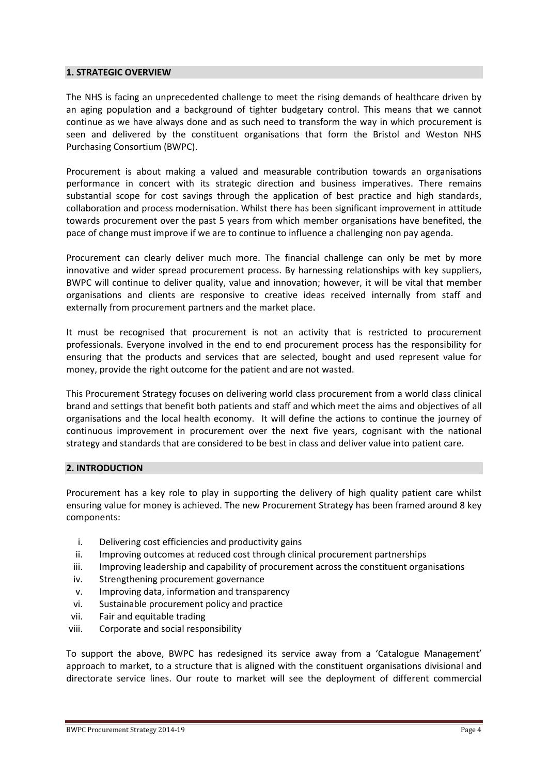#### **1. STRATEGIC OVERVIEW**

The NHS is facing an unprecedented challenge to meet the rising demands of healthcare driven by an aging population and a background of tighter budgetary control. This means that we cannot continue as we have always done and as such need to transform the way in which procurement is seen and delivered by the constituent organisations that form the Bristol and Weston NHS Purchasing Consortium (BWPC).

Procurement is about making a valued and measurable contribution towards an organisations performance in concert with its strategic direction and business imperatives. There remains substantial scope for cost savings through the application of best practice and high standards, collaboration and process modernisation. Whilst there has been significant improvement in attitude towards procurement over the past 5 years from which member organisations have benefited, the pace of change must improve if we are to continue to influence a challenging non pay agenda.

Procurement can clearly deliver much more. The financial challenge can only be met by more innovative and wider spread procurement process. By harnessing relationships with key suppliers, BWPC will continue to deliver quality, value and innovation; however, it will be vital that member organisations and clients are responsive to creative ideas received internally from staff and externally from procurement partners and the market place.

It must be recognised that procurement is not an activity that is restricted to procurement professionals. Everyone involved in the end to end procurement process has the responsibility for ensuring that the products and services that are selected, bought and used represent value for money, provide the right outcome for the patient and are not wasted.

This Procurement Strategy focuses on delivering world class procurement from a world class clinical brand and settings that benefit both patients and staff and which meet the aims and objectives of all organisations and the local health economy. It will define the actions to continue the journey of continuous improvement in procurement over the next five years, cognisant with the national strategy and standards that are considered to be best in class and deliver value into patient care.

#### **2. INTRODUCTION**

Procurement has a key role to play in supporting the delivery of high quality patient care whilst ensuring value for money is achieved. The new Procurement Strategy has been framed around 8 key components:

- i. Delivering cost efficiencies and productivity gains
- ii. Improving outcomes at reduced cost through clinical procurement partnerships
- iii. Improving leadership and capability of procurement across the constituent organisations
- iv. Strengthening procurement governance
- v. Improving data, information and transparency
- vi. Sustainable procurement policy and practice
- vii. Fair and equitable trading
- viii. Corporate and social responsibility

To support the above, BWPC has redesigned its service away from a 'Catalogue Management' approach to market, to a structure that is aligned with the constituent organisations divisional and directorate service lines. Our route to market will see the deployment of different commercial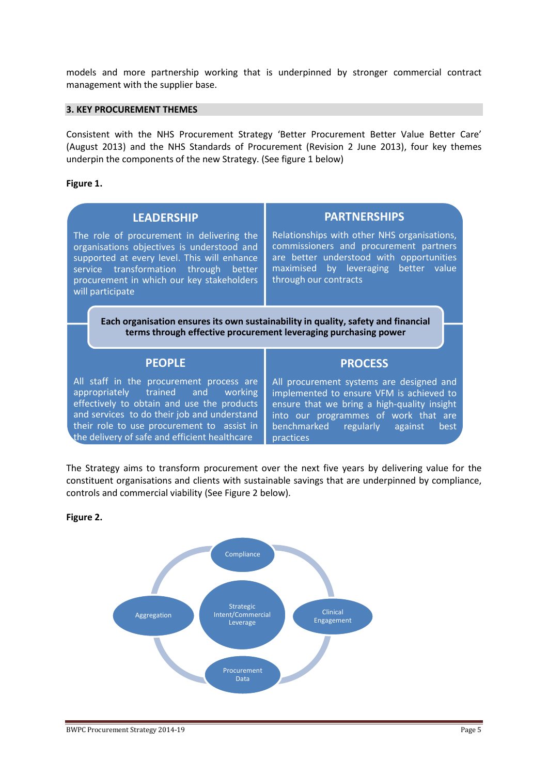models and more partnership working that is underpinned by stronger commercial contract management with the supplier base.

#### **3. KEY PROCUREMENT THEMES**

Consistent with the NHS Procurement Strategy 'Better Procurement Better Value Better Care' (August 2013) and the NHS Standards of Procurement (Revision 2 June 2013), four key themes underpin the components of the new Strategy. (See figure 1 below)

#### **Figure 1.**

| <b>LEADERSHIP</b><br>The role of procurement in delivering the<br>organisations objectives is understood and<br>supported at every level. This will enhance<br>service transformation through better<br>procurement in which our key stakeholders | <b>PARTNERSHIPS</b><br>Relationships with other NHS organisations,<br>commissioners and procurement partners<br>are better understood with opportunities<br>maximised by leveraging better value<br>through our contracts |  |  |  |
|---------------------------------------------------------------------------------------------------------------------------------------------------------------------------------------------------------------------------------------------------|---------------------------------------------------------------------------------------------------------------------------------------------------------------------------------------------------------------------------|--|--|--|
| will participate<br>Each organisation ensures its own sustainability in quality, safety and financial<br>terms through effective procurement leveraging purchasing power                                                                          |                                                                                                                                                                                                                           |  |  |  |
| <b>PEOPLE</b>                                                                                                                                                                                                                                     | <b>PROCESS</b>                                                                                                                                                                                                            |  |  |  |
|                                                                                                                                                                                                                                                   |                                                                                                                                                                                                                           |  |  |  |

The Strategy aims to transform procurement over the next five years by delivering value for the constituent organisations and clients with sustainable savings that are underpinned by compliance, controls and commercial viability (See Figure 2 below).

**Figure 2.**

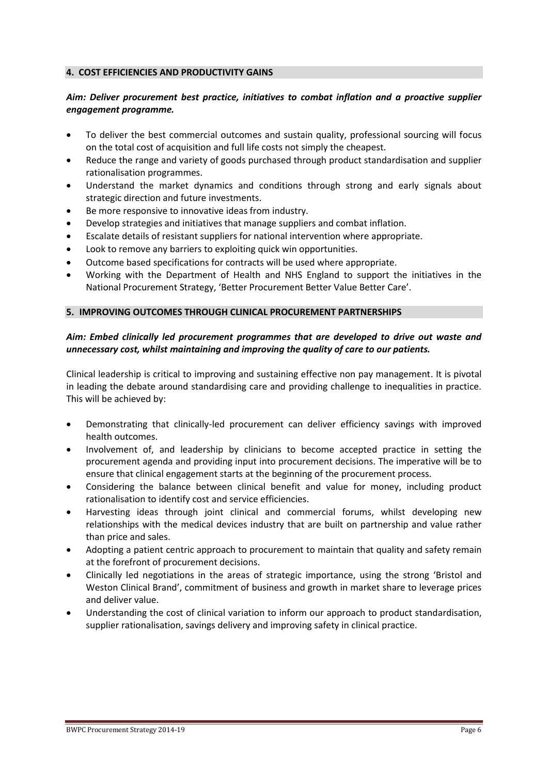#### **4. COST EFFICIENCIES AND PRODUCTIVITY GAINS**

### *Aim: Deliver procurement best practice, initiatives to combat inflation and a proactive supplier engagement programme.*

- To deliver the best commercial outcomes and sustain quality, professional sourcing will focus on the total cost of acquisition and full life costs not simply the cheapest.
- Reduce the range and variety of goods purchased through product standardisation and supplier rationalisation programmes.
- Understand the market dynamics and conditions through strong and early signals about strategic direction and future investments.
- Be more responsive to innovative ideas from industry.
- Develop strategies and initiatives that manage suppliers and combat inflation.
- Escalate details of resistant suppliers for national intervention where appropriate.
- Look to remove any barriers to exploiting quick win opportunities.
- Outcome based specifications for contracts will be used where appropriate.
- Working with the Department of Health and NHS England to support the initiatives in the National Procurement Strategy, 'Better Procurement Better Value Better Care'.

#### **5. IMPROVING OUTCOMES THROUGH CLINICAL PROCUREMENT PARTNERSHIPS**

# *Aim: Embed clinically led procurement programmes that are developed to drive out waste and unnecessary cost, whilst maintaining and improving the quality of care to our patients.*

Clinical leadership is critical to improving and sustaining effective non pay management. It is pivotal in leading the debate around standardising care and providing challenge to inequalities in practice. This will be achieved by:

- Demonstrating that clinically-led procurement can deliver efficiency savings with improved health outcomes.
- Involvement of, and leadership by clinicians to become accepted practice in setting the procurement agenda and providing input into procurement decisions. The imperative will be to ensure that clinical engagement starts at the beginning of the procurement process.
- Considering the balance between clinical benefit and value for money, including product rationalisation to identify cost and service efficiencies.
- Harvesting ideas through joint clinical and commercial forums, whilst developing new relationships with the medical devices industry that are built on partnership and value rather than price and sales.
- Adopting a patient centric approach to procurement to maintain that quality and safety remain at the forefront of procurement decisions.
- Clinically led negotiations in the areas of strategic importance, using the strong 'Bristol and Weston Clinical Brand', commitment of business and growth in market share to leverage prices and deliver value.
- Understanding the cost of clinical variation to inform our approach to product standardisation, supplier rationalisation, savings delivery and improving safety in clinical practice.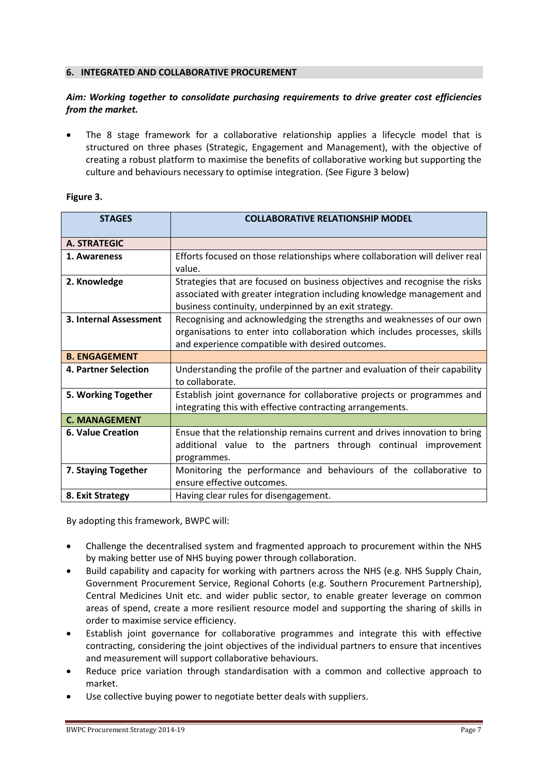#### **6. INTEGRATED AND COLLABORATIVE PROCUREMENT**

# *Aim: Working together to consolidate purchasing requirements to drive greater cost efficiencies from the market.*

 The 8 stage framework for a collaborative relationship applies a lifecycle model that is structured on three phases (Strategic, Engagement and Management), with the objective of creating a robust platform to maximise the benefits of collaborative working but supporting the culture and behaviours necessary to optimise integration. (See Figure 3 below)

#### **Figure 3.**

| <b>STAGES</b>            | <b>COLLABORATIVE RELATIONSHIP MODEL</b>                                                                                                                                                                       |  |
|--------------------------|---------------------------------------------------------------------------------------------------------------------------------------------------------------------------------------------------------------|--|
| <b>A. STRATEGIC</b>      |                                                                                                                                                                                                               |  |
| 1. Awareness             | Efforts focused on those relationships where collaboration will deliver real<br>value.                                                                                                                        |  |
| 2. Knowledge             | Strategies that are focused on business objectives and recognise the risks<br>associated with greater integration including knowledge management and<br>business continuity, underpinned by an exit strategy. |  |
| 3. Internal Assessment   | Recognising and acknowledging the strengths and weaknesses of our own<br>organisations to enter into collaboration which includes processes, skills<br>and experience compatible with desired outcomes.       |  |
| <b>B. ENGAGEMENT</b>     |                                                                                                                                                                                                               |  |
| 4. Partner Selection     | Understanding the profile of the partner and evaluation of their capability<br>to collaborate.                                                                                                                |  |
| 5. Working Together      | Establish joint governance for collaborative projects or programmes and<br>integrating this with effective contracting arrangements.                                                                          |  |
| <b>C. MANAGEMENT</b>     |                                                                                                                                                                                                               |  |
| <b>6. Value Creation</b> | Ensue that the relationship remains current and drives innovation to bring<br>additional value to the partners through continual improvement<br>programmes.                                                   |  |
| 7. Staying Together      | Monitoring the performance and behaviours of the collaborative to<br>ensure effective outcomes.                                                                                                               |  |
| 8. Exit Strategy         | Having clear rules for disengagement.                                                                                                                                                                         |  |

By adopting this framework, BWPC will:

- Challenge the decentralised system and fragmented approach to procurement within the NHS by making better use of NHS buying power through collaboration.
- Build capability and capacity for working with partners across the NHS (e.g. NHS Supply Chain, Government Procurement Service, Regional Cohorts (e.g. Southern Procurement Partnership), Central Medicines Unit etc. and wider public sector, to enable greater leverage on common areas of spend, create a more resilient resource model and supporting the sharing of skills in order to maximise service efficiency.
- Establish joint governance for collaborative programmes and integrate this with effective contracting, considering the joint objectives of the individual partners to ensure that incentives and measurement will support collaborative behaviours.
- Reduce price variation through standardisation with a common and collective approach to market.
- Use collective buying power to negotiate better deals with suppliers.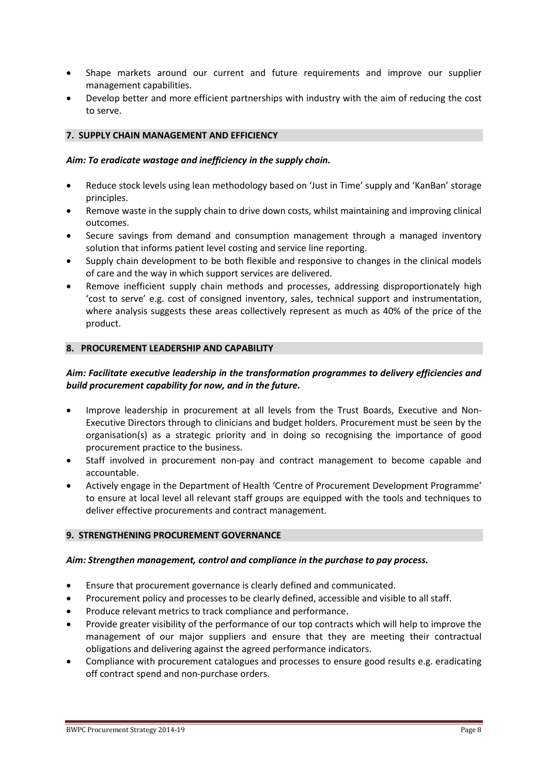- Shape markets around our current and future requirements and improve our supplier management capabilities.
- Develop better and more efficient partnerships with industry with the aim of reducing the cost to serve.

#### **7. SUPPLY CHAIN MANAGEMENT AND EFFICIENCY**

#### *Aim: To eradicate wastage and inefficiency in the supply chain.*

- Reduce stock levels using lean methodology based on 'Just in Time' supply and 'KanBan' storage principles.
- Remove waste in the supply chain to drive down costs, whilst maintaining and improving clinical outcomes.
- Secure savings from demand and consumption management through a managed inventory solution that informs patient level costing and service line reporting.
- Supply chain development to be both flexible and responsive to changes in the clinical models of care and the way in which support services are delivered.
- Remove inefficient supply chain methods and processes, addressing disproportionately high 'cost to serve' e.g. cost of consigned inventory, sales, technical support and instrumentation, where analysis suggests these areas collectively represent as much as 40% of the price of the product.

#### **8. PROCUREMENT LEADERSHIP AND CAPABILITY**

# *Aim: Facilitate executive leadership in the transformation programmes to delivery efficiencies and build procurement capability for now, and in the future.*

- Improve leadership in procurement at all levels from the Trust Boards, Executive and Non-Executive Directors through to clinicians and budget holders. Procurement must be seen by the organisation(s) as a strategic priority and in doing so recognising the importance of good procurement practice to the business.
- Staff involved in procurement non-pay and contract management to become capable and accountable.
- Actively engage in the Department of Health 'Centre of Procurement Development Programme' to ensure at local level all relevant staff groups are equipped with the tools and techniques to deliver effective procurements and contract management.

#### **9. STRENGTHENING PROCUREMENT GOVERNANCE**

#### *Aim: Strengthen management, control and compliance in the purchase to pay process.*

- Ensure that procurement governance is clearly defined and communicated.
- Procurement policy and processes to be clearly defined, accessible and visible to all staff.
- Produce relevant metrics to track compliance and performance.
- Provide greater visibility of the performance of our top contracts which will help to improve the management of our major suppliers and ensure that they are meeting their contractual obligations and delivering against the agreed performance indicators.
- Compliance with procurement catalogues and processes to ensure good results e.g. eradicating off contract spend and non-purchase orders.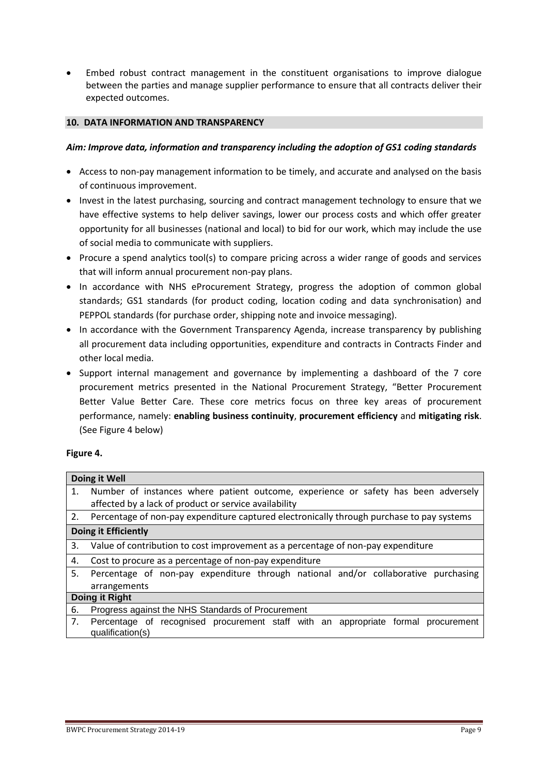Embed robust contract management in the constituent organisations to improve dialogue between the parties and manage supplier performance to ensure that all contracts deliver their expected outcomes.

#### **10. DATA INFORMATION AND TRANSPARENCY**

#### *Aim: Improve data, information and transparency including the adoption of GS1 coding standards*

- Access to non-pay management information to be timely, and accurate and analysed on the basis of continuous improvement.
- Invest in the latest purchasing, sourcing and contract management technology to ensure that we have effective systems to help deliver savings, lower our process costs and which offer greater opportunity for all businesses (national and local) to bid for our work, which may include the use of social media to communicate with suppliers.
- Procure a spend analytics tool(s) to compare pricing across a wider range of goods and services that will inform annual procurement non-pay plans.
- In accordance with NHS eProcurement Strategy, progress the adoption of common global standards; GS1 standards (for product coding, location coding and data synchronisation) and PEPPOL standards (for purchase order, shipping note and invoice messaging).
- In accordance with the Government Transparency Agenda, increase transparency by publishing all procurement data including opportunities, expenditure and contracts in Contracts Finder and other local media.
- Support internal management and governance by implementing a dashboard of the 7 core procurement metrics presented in the National Procurement Strategy, "Better Procurement Better Value Better Care. These core metrics focus on three key areas of procurement performance, namely: **enabling business continuity**, **procurement efficiency** and **mitigating risk**. (See Figure 4 below)

# **Figure 4.**

|                             | Doing it Well                                                                                         |
|-----------------------------|-------------------------------------------------------------------------------------------------------|
| 1.                          | Number of instances where patient outcome, experience or safety has been adversely                    |
|                             | affected by a lack of product or service availability                                                 |
| 2.                          | Percentage of non-pay expenditure captured electronically through purchase to pay systems             |
| <b>Doing it Efficiently</b> |                                                                                                       |
| 3.                          | Value of contribution to cost improvement as a percentage of non-pay expenditure                      |
| 4.                          | Cost to procure as a percentage of non-pay expenditure                                                |
| 5.                          | Percentage of non-pay expenditure through national and/or collaborative purchasing                    |
|                             | arrangements                                                                                          |
|                             | Doing it Right                                                                                        |
| 6.                          | Progress against the NHS Standards of Procurement                                                     |
| 7.                          | Percentage of recognised procurement staff with an appropriate formal procurement<br>qualification(s) |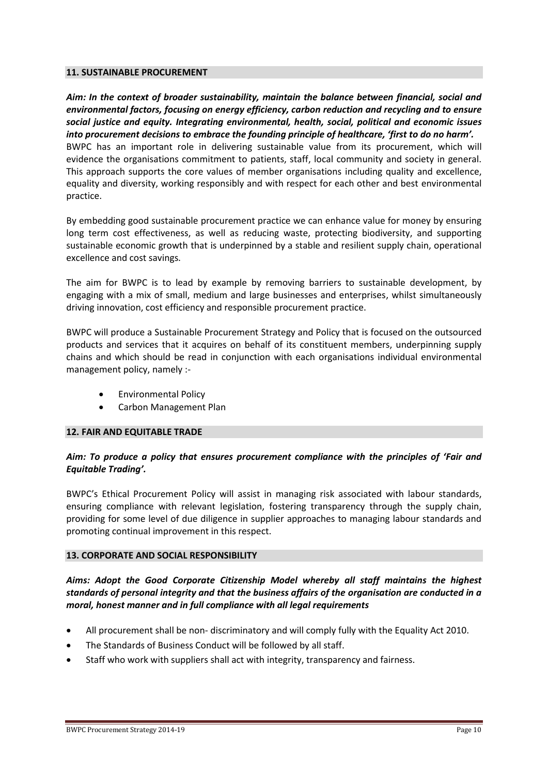#### **11. SUSTAINABLE PROCUREMENT**

*Aim: In the context of broader sustainability, maintain the balance between financial, social and environmental factors, focusing on energy efficiency, carbon reduction and recycling and to ensure social justice and equity. Integrating environmental, health, social, political and economic issues into procurement decisions to embrace the founding principle of healthcare, 'first to do no harm'.*  BWPC has an important role in delivering sustainable value from its procurement, which will evidence the organisations commitment to patients, staff, local community and society in general. This approach supports the core values of member organisations including quality and excellence, equality and diversity, working responsibly and with respect for each other and best environmental practice.

By embedding good sustainable procurement practice we can enhance value for money by ensuring long term cost effectiveness, as well as reducing waste, protecting biodiversity, and supporting sustainable economic growth that is underpinned by a stable and resilient supply chain, operational excellence and cost savings.

The aim for BWPC is to lead by example by removing barriers to sustainable development, by engaging with a mix of small, medium and large businesses and enterprises, whilst simultaneously driving innovation, cost efficiency and responsible procurement practice.

BWPC will produce a Sustainable Procurement Strategy and Policy that is focused on the outsourced products and services that it acquires on behalf of its constituent members, underpinning supply chains and which should be read in conjunction with each organisations individual environmental management policy, namely :-

- Environmental Policy
- Carbon Management Plan

#### **12. FAIR AND EQUITABLE TRADE**

# *Aim: To produce a policy that ensures procurement compliance with the principles of 'Fair and Equitable Trading'.*

BWPC's Ethical Procurement Policy will assist in managing risk associated with labour standards, ensuring compliance with relevant legislation, fostering transparency through the supply chain, providing for some level of due diligence in supplier approaches to managing labour standards and promoting continual improvement in this respect.

#### **13. CORPORATE AND SOCIAL RESPONSIBILITY**

## *Aims: Adopt the Good Corporate Citizenship Model whereby all staff maintains the highest standards of personal integrity and that the business affairs of the organisation are conducted in a moral, honest manner and in full compliance with all legal requirements*

- All procurement shall be non- discriminatory and will comply fully with the Equality Act 2010.
- The Standards of Business Conduct will be followed by all staff.
- Staff who work with suppliers shall act with integrity, transparency and fairness.